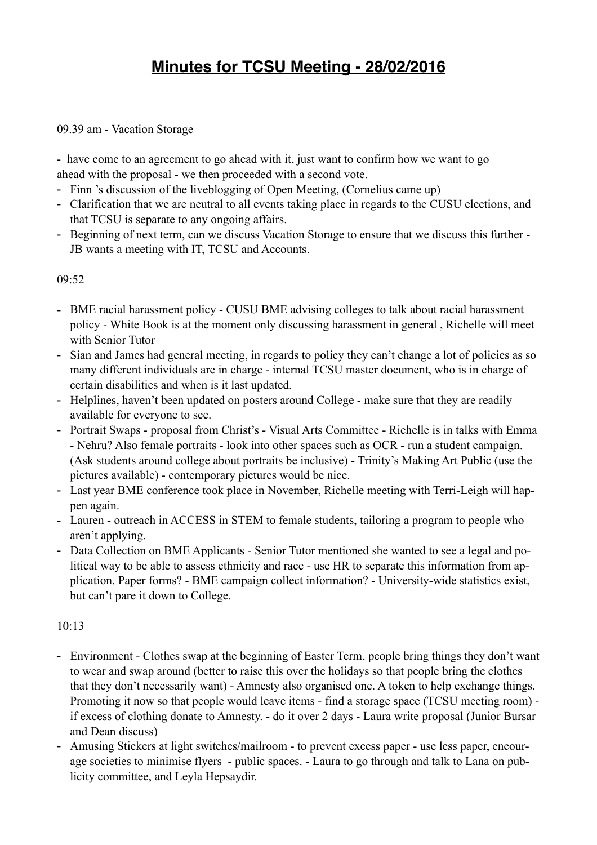# **Minutes for TCSU Meeting - 28/02/2016**

### 09.39 am - Vacation Storage

- have come to an agreement to go ahead with it, just want to confirm how we want to go ahead with the proposal - we then proceeded with a second vote.

- Finn 's discussion of the liveblogging of Open Meeting, (Cornelius came up)
- Clarification that we are neutral to all events taking place in regards to the CUSU elections, and that TCSU is separate to any ongoing affairs.
- Beginning of next term, can we discuss Vacation Storage to ensure that we discuss this further JB wants a meeting with IT, TCSU and Accounts.

### 09:52

- BME racial harassment policy CUSU BME advising colleges to talk about racial harassment policy - White Book is at the moment only discussing harassment in general , Richelle will meet with Senior Tutor
- Sian and James had general meeting, in regards to policy they can't change a lot of policies as so many different individuals are in charge - internal TCSU master document, who is in charge of certain disabilities and when is it last updated.
- Helplines, haven't been updated on posters around College make sure that they are readily available for everyone to see.
- Portrait Swaps proposal from Christ's Visual Arts Committee Richelle is in talks with Emma - Nehru? Also female portraits - look into other spaces such as OCR - run a student campaign. (Ask students around college about portraits be inclusive) - Trinity's Making Art Public (use the pictures available) - contemporary pictures would be nice.
- Last year BME conference took place in November, Richelle meeting with Terri-Leigh will happen again.
- Lauren outreach in ACCESS in STEM to female students, tailoring a program to people who aren't applying.
- Data Collection on BME Applicants Senior Tutor mentioned she wanted to see a legal and political way to be able to assess ethnicity and race - use HR to separate this information from application. Paper forms? - BME campaign collect information? - University-wide statistics exist, but can't pare it down to College.

#### $10.13$

- Environment Clothes swap at the beginning of Easter Term, people bring things they don't want to wear and swap around (better to raise this over the holidays so that people bring the clothes that they don't necessarily want) - Amnesty also organised one. A token to help exchange things. Promoting it now so that people would leave items - find a storage space (TCSU meeting room) if excess of clothing donate to Amnesty. - do it over 2 days - Laura write proposal (Junior Bursar and Dean discuss)
- Amusing Stickers at light switches/mailroom to prevent excess paper use less paper, encourage societies to minimise flyers - public spaces. - Laura to go through and talk to Lana on publicity committee, and Leyla Hepsaydir.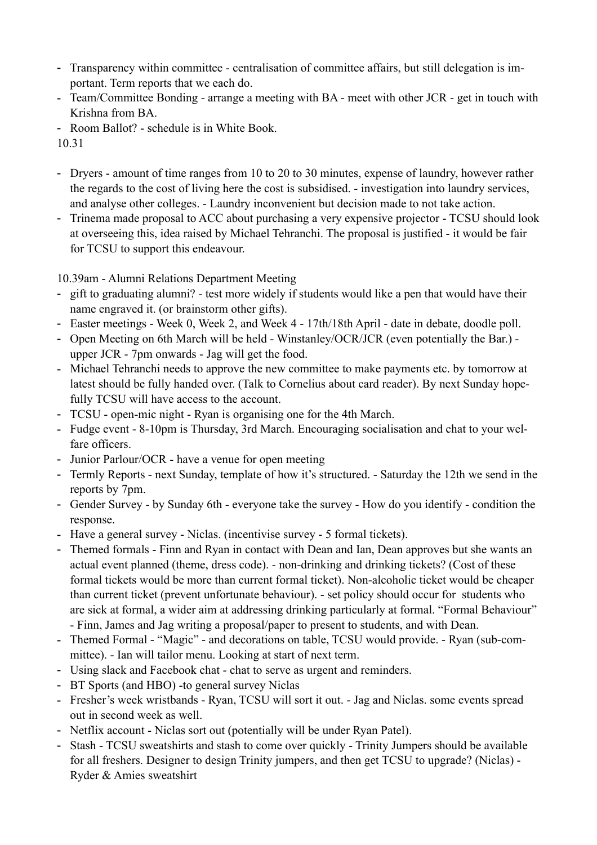- Transparency within committee centralisation of committee affairs, but still delegation is important. Term reports that we each do.
- Team/Committee Bonding arrange a meeting with BA meet with other JCR get in touch with Krishna from BA.
- Room Ballot? schedule is in White Book.

10.31

- Dryers amount of time ranges from 10 to 20 to 30 minutes, expense of laundry, however rather the regards to the cost of living here the cost is subsidised. - investigation into laundry services, and analyse other colleges. - Laundry inconvenient but decision made to not take action.
- Trinema made proposal to ACC about purchasing a very expensive projector TCSU should look at overseeing this, idea raised by Michael Tehranchi. The proposal is justified - it would be fair for TCSU to support this endeavour.

10.39am - Alumni Relations Department Meeting

- gift to graduating alumni? test more widely if students would like a pen that would have their name engraved it. (or brainstorm other gifts).
- Easter meetings Week 0, Week 2, and Week 4 17th/18th April date in debate, doodle poll.
- Open Meeting on 6th March will be held Winstanley/OCR/JCR (even potentially the Bar.) upper JCR - 7pm onwards - Jag will get the food.
- Michael Tehranchi needs to approve the new committee to make payments etc. by tomorrow at latest should be fully handed over. (Talk to Cornelius about card reader). By next Sunday hopefully TCSU will have access to the account.
- TCSU open-mic night Ryan is organising one for the 4th March.
- Fudge event 8-10pm is Thursday, 3rd March. Encouraging socialisation and chat to your welfare officers.
- Junior Parlour/OCR have a venue for open meeting
- Termly Reports next Sunday, template of how it's structured. Saturday the 12th we send in the reports by 7pm.
- Gender Survey by Sunday 6th everyone take the survey How do you identify condition the response.
- Have a general survey Niclas. (incentivise survey 5 formal tickets).
- Themed formals Finn and Ryan in contact with Dean and Ian, Dean approves but she wants an actual event planned (theme, dress code). - non-drinking and drinking tickets? (Cost of these formal tickets would be more than current formal ticket). Non-alcoholic ticket would be cheaper than current ticket (prevent unfortunate behaviour). - set policy should occur for students who are sick at formal, a wider aim at addressing drinking particularly at formal. "Formal Behaviour" - Finn, James and Jag writing a proposal/paper to present to students, and with Dean.
- Themed Formal "Magic" and decorations on table, TCSU would provide. Ryan (sub-committee). - Ian will tailor menu. Looking at start of next term.
- Using slack and Facebook chat chat to serve as urgent and reminders.
- BT Sports (and HBO) -to general survey Niclas
- Fresher's week wristbands Ryan, TCSU will sort it out. Jag and Niclas. some events spread out in second week as well.
- Netflix account Niclas sort out (potentially will be under Ryan Patel).
- Stash TCSU sweatshirts and stash to come over quickly Trinity Jumpers should be available for all freshers. Designer to design Trinity jumpers, and then get TCSU to upgrade? (Niclas) - Ryder & Amies sweatshirt